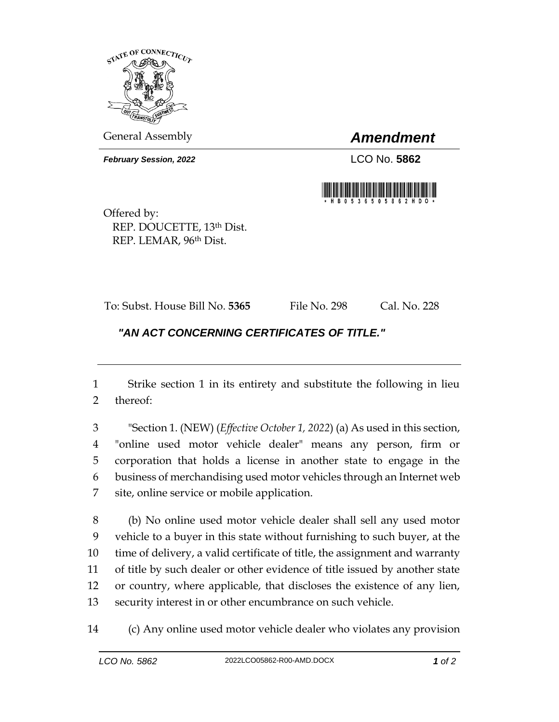

General Assembly *Amendment*

*February Session, 2022* LCO No. 5862



Offered by: REP. DOUCETTE, 13th Dist. REP. LEMAR, 96th Dist.

To: Subst. House Bill No. **5365** File No. 298 Cal. No. 228

## *"AN ACT CONCERNING CERTIFICATES OF TITLE."*

 Strike section 1 in its entirety and substitute the following in lieu thereof:

 "Section 1. (NEW) (*Effective October 1, 2022*) (a) As used in this section, "online used motor vehicle dealer" means any person, firm or corporation that holds a license in another state to engage in the business of merchandising used motor vehicles through an Internet web site, online service or mobile application.

 (b) No online used motor vehicle dealer shall sell any used motor vehicle to a buyer in this state without furnishing to such buyer, at the time of delivery, a valid certificate of title, the assignment and warranty of title by such dealer or other evidence of title issued by another state or country, where applicable, that discloses the existence of any lien, security interest in or other encumbrance on such vehicle.

(c) Any online used motor vehicle dealer who violates any provision